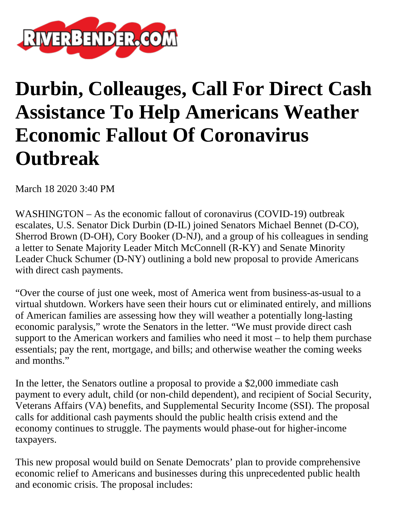

## **Durbin, Colleauges, Call For Direct Cash Assistance To Help Americans Weather Economic Fallout Of Coronavirus Outbreak**

March 18 2020 3:40 PM

WASHINGTON – As the economic fallout of coronavirus (COVID-19) outbreak escalates, U.S. Senator Dick Durbin (D-IL) joined Senators Michael Bennet (D-CO), Sherrod Brown (D-OH), Cory Booker (D-NJ), and a group of his colleagues in sending a letter to Senate Majority Leader Mitch McConnell (R-KY) and Senate Minority Leader Chuck Schumer (D-NY) outlining a bold new proposal to provide Americans with direct cash payments.

"Over the course of just one week, most of America went from business-as-usual to a virtual shutdown. Workers have seen their hours cut or eliminated entirely, and millions of American families are assessing how they will weather a potentially long-lasting economic paralysis," wrote the Senators in the letter. "We must provide direct cash support to the American workers and families who need it most – to help them purchase essentials; pay the rent, mortgage, and bills; and otherwise weather the coming weeks and months."

In the letter, the Senators outline a proposal to provide a \$2,000 immediate cash payment to every adult, child (or non-child dependent), and recipient of Social Security, Veterans Affairs (VA) benefits, and Supplemental Security Income (SSI). The proposal calls for additional cash payments should the public health crisis extend and the economy continues to struggle. The payments would phase-out for higher-income taxpayers.

This new proposal would build on Senate Democrats' plan to provide comprehensive economic relief to Americans and businesses during this unprecedented public health and economic crisis. The proposal includes: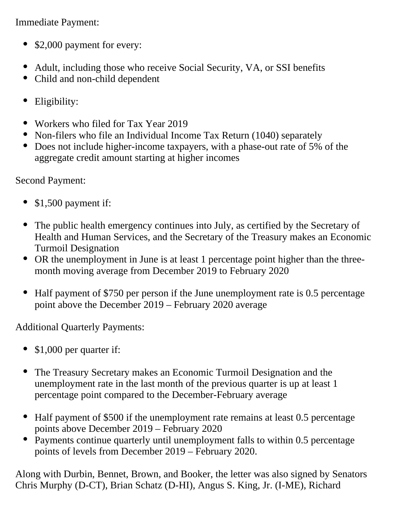Immediate Payment:

- \$2,000 payment for every:
- Adult, including those who receive Social Security, VA, or SSI benefits
- Child and non-child dependent  $\bullet$
- Eligibility:
- Workers who filed for Tax Year 2019
- Non-filers who file an Individual Income Tax Return (1040) separately
- Does not include higher-income taxpayers, with a phase-out rate of 5% of the aggregate credit amount starting at higher incomes

Second Payment:

- $\bullet$  \$1,500 payment if:
- The public health emergency continues into July, as certified by the Secretary of Health and Human Services, and the Secretary of the Treasury makes an Economic Turmoil Designation
- OR the unemployment in June is at least 1 percentage point higher than the threemonth moving average from December 2019 to February 2020
- Half payment of \$750 per person if the June unemployment rate is 0.5 percentage point above the December 2019 – February 2020 average

Additional Quarterly Payments:

- \$1,000 per quarter if:
- The Treasury Secretary makes an Economic Turmoil Designation and the unemployment rate in the last month of the previous quarter is up at least 1 percentage point compared to the December-February average
- Half payment of \$500 if the unemployment rate remains at least 0.5 percentage points above December 2019 – February 2020
- Payments continue quarterly until unemployment falls to within 0.5 percentage points of levels from December 2019 – February 2020.

Along with Durbin, Bennet, Brown, and Booker, the letter was also signed by Senators Chris Murphy (D-CT), Brian Schatz (D-HI), Angus S. King, Jr. (I-ME), Richard